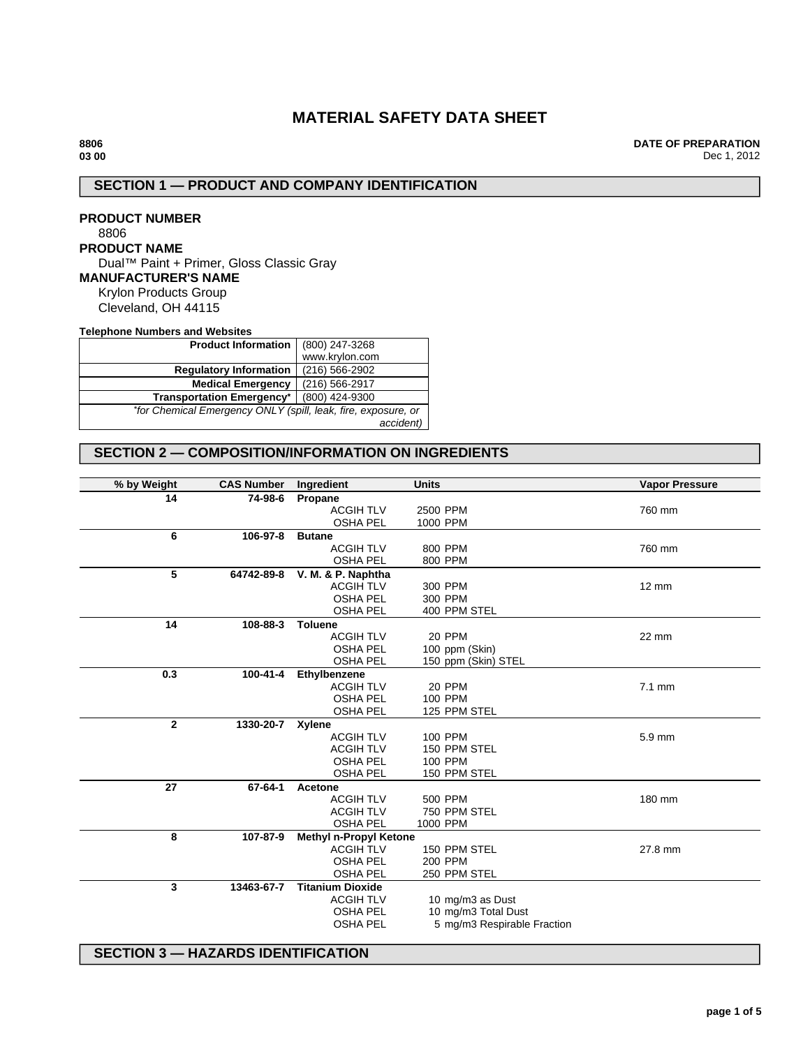# **MATERIAL SAFETY DATA SHEET**

**DATE OF PREPARATION** Dec 1, 2012

# **SECTION 1 — PRODUCT AND COMPANY IDENTIFICATION**

**PRODUCT NUMBER** 8806 **PRODUCT NAME** Dual™ Paint + Primer, Gloss Classic Gray **MANUFACTURER'S NAME** Krylon Products Group Cleveland, OH 44115

**Telephone Numbers and Websites**

| <b>Product Information</b>                                    | (800) 247-3268 |  |  |  |
|---------------------------------------------------------------|----------------|--|--|--|
|                                                               | www.krylon.com |  |  |  |
| <b>Regulatory Information</b>                                 | (216) 566-2902 |  |  |  |
| <b>Medical Emergency</b>                                      | (216) 566-2917 |  |  |  |
| <b>Transportation Emergency*</b>                              | (800) 424-9300 |  |  |  |
| *for Chemical Emergency ONLY (spill, leak, fire, exposure, or |                |  |  |  |
|                                                               | accident)      |  |  |  |

## **SECTION 2 — COMPOSITION/INFORMATION ON INGREDIENTS**

| % by Weight  | <b>CAS Number</b> | Ingredient                    | <b>Units</b>                | <b>Vapor Pressure</b> |
|--------------|-------------------|-------------------------------|-----------------------------|-----------------------|
| 14           | 74-98-6           | Propane                       |                             |                       |
|              |                   | <b>ACGIH TLV</b>              | 2500 PPM                    | 760 mm                |
|              |                   | <b>OSHA PEL</b>               | 1000 PPM                    |                       |
| 6            | 106-97-8          | <b>Butane</b>                 |                             |                       |
|              |                   | <b>ACGIH TLV</b>              | 800 PPM                     | 760 mm                |
|              |                   | <b>OSHA PEL</b>               | 800 PPM                     |                       |
| 5            | 64742-89-8        | V. M. & P. Naphtha            |                             |                       |
|              |                   | <b>ACGIH TLV</b>              | 300 PPM                     | $12 \text{ mm}$       |
|              |                   | <b>OSHA PEL</b>               | 300 PPM                     |                       |
|              |                   | <b>OSHA PEL</b>               | 400 PPM STEL                |                       |
| 14           | 108-88-3          | <b>Toluene</b>                |                             |                       |
|              |                   | <b>ACGIH TLV</b>              | 20 PPM                      | 22 mm                 |
|              |                   | <b>OSHA PEL</b>               | 100 ppm (Skin)              |                       |
|              |                   | <b>OSHA PEL</b>               | 150 ppm (Skin) STEL         |                       |
| 0.3          | 100-41-4          | Ethylbenzene                  |                             |                       |
|              |                   | <b>ACGIH TLV</b>              | 20 PPM                      | $7.1$ mm              |
|              |                   | <b>OSHA PEL</b>               | 100 PPM                     |                       |
|              |                   | <b>OSHA PEL</b>               | 125 PPM STEL                |                       |
| $\mathbf{2}$ | 1330-20-7 Xylene  |                               |                             |                       |
|              |                   | <b>ACGIH TLV</b>              | 100 PPM                     | 5.9 mm                |
|              |                   | <b>ACGIH TLV</b>              | 150 PPM STEL                |                       |
|              |                   | <b>OSHA PEL</b>               | 100 PPM                     |                       |
|              |                   | <b>OSHA PEL</b>               | 150 PPM STEL                |                       |
| 27           | 67-64-1           | Acetone                       |                             |                       |
|              |                   | <b>ACGIH TLV</b>              | 500 PPM                     | 180 mm                |
|              |                   | <b>ACGIH TLV</b>              | 750 PPM STEL                |                       |
|              |                   | <b>OSHA PEL</b>               | 1000 PPM                    |                       |
| 8            | 107-87-9          | <b>Methyl n-Propyl Ketone</b> |                             |                       |
|              |                   | <b>ACGIH TLV</b>              | 150 PPM STEL                | 27.8 mm               |
|              |                   | <b>OSHA PEL</b>               | 200 PPM                     |                       |
|              |                   | <b>OSHA PEL</b>               | 250 PPM STEL                |                       |
| 3            | 13463-67-7        | <b>Titanium Dioxide</b>       |                             |                       |
|              |                   | <b>ACGIH TLV</b>              | 10 mg/m3 as Dust            |                       |
|              |                   | <b>OSHA PEL</b>               | 10 mg/m3 Total Dust         |                       |
|              |                   | <b>OSHA PEL</b>               | 5 mg/m3 Respirable Fraction |                       |
|              |                   |                               |                             |                       |

**SECTION 3 — HAZARDS IDENTIFICATION**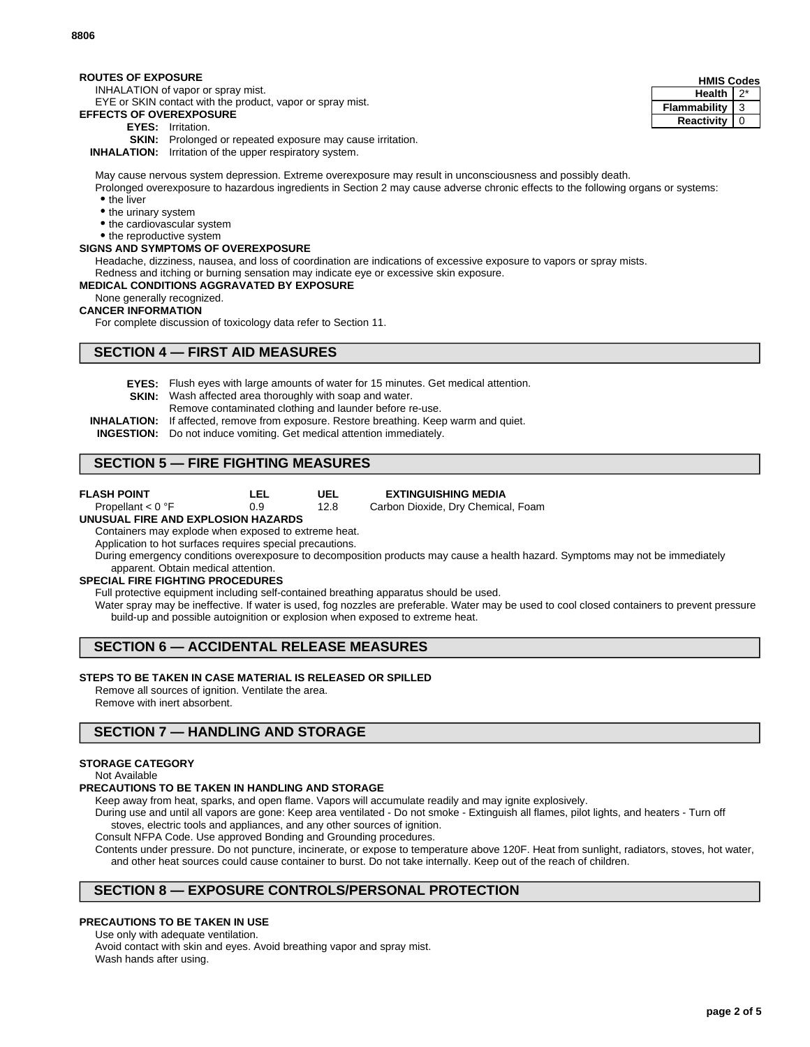#### **ROUTES OF EXPOSURE**

INHALATION of vapor or spray mist.

EYE or SKIN contact with the product, vapor or spray mist.

## **EFFECTS OF OVEREXPOSURE**

- **EYES:** Irritation.
- **SKIN:** Prolonged or repeated exposure may cause irritation.

**INHALATION:** Irritation of the upper respiratory system.

May cause nervous system depression. Extreme overexposure may result in unconsciousness and possibly death.

Prolonged overexposure to hazardous ingredients in Section 2 may cause adverse chronic effects to the following organs or systems: • the liver

- the urinary system
- the cardiovascular system
- the reproductive system

### **SIGNS AND SYMPTOMS OF OVEREXPOSURE**

Headache, dizziness, nausea, and loss of coordination are indications of excessive exposure to vapors or spray mists.

Redness and itching or burning sensation may indicate eye or excessive skin exposure.

#### **MEDICAL CONDITIONS AGGRAVATED BY EXPOSURE**

None generally recognized.

#### **CANCER INFORMATION**

For complete discussion of toxicology data refer to Section 11.

## **SECTION 4 — FIRST AID MEASURES**

**EYES:** Flush eyes with large amounts of water for 15 minutes. Get medical attention.

**UEL** 12.8

- **SKIN:** Wash affected area thoroughly with soap and water.
	- Remove contaminated clothing and launder before re-use.
- **INHALATION:** If affected, remove from exposure. Restore breathing. Keep warm and quiet.
- **INGESTION:** Do not induce vomiting. Get medical attention immediately.

**LEL** 0.9

## **SECTION 5 — FIRE FIGHTING MEASURES**

- **FLASH POINT** Propellant < 0 °F
- 

**EXTINGUISHING MEDIA**

Carbon Dioxide, Dry Chemical, Foam

#### **UNUSUAL FIRE AND EXPLOSION HAZARDS**

Containers may explode when exposed to extreme heat.

Application to hot surfaces requires special precautions.

During emergency conditions overexposure to decomposition products may cause a health hazard. Symptoms may not be immediately apparent. Obtain medical attention.

### **SPECIAL FIRE FIGHTING PROCEDURES**

Full protective equipment including self-contained breathing apparatus should be used.

Water spray may be ineffective. If water is used, fog nozzles are preferable. Water may be used to cool closed containers to prevent pressure build-up and possible autoignition or explosion when exposed to extreme heat.

# **SECTION 6 — ACCIDENTAL RELEASE MEASURES**

### **STEPS TO BE TAKEN IN CASE MATERIAL IS RELEASED OR SPILLED**

Remove all sources of ignition. Ventilate the area.

Remove with inert absorbent.

## **SECTION 7 — HANDLING AND STORAGE**

### **STORAGE CATEGORY**

Not Available

#### **PRECAUTIONS TO BE TAKEN IN HANDLING AND STORAGE**

Keep away from heat, sparks, and open flame. Vapors will accumulate readily and may ignite explosively.

During use and until all vapors are gone: Keep area ventilated - Do not smoke - Extinguish all flames, pilot lights, and heaters - Turn off stoves, electric tools and appliances, and any other sources of ignition.

Consult NFPA Code. Use approved Bonding and Grounding procedures.

Contents under pressure. Do not puncture, incinerate, or expose to temperature above 120F. Heat from sunlight, radiators, stoves, hot water, and other heat sources could cause container to burst. Do not take internally. Keep out of the reach of children.

## **SECTION 8 — EXPOSURE CONTROLS/PERSONAL PROTECTION**

### **PRECAUTIONS TO BE TAKEN IN USE**

Use only with adequate ventilation. Avoid contact with skin and eyes. Avoid breathing vapor and spray mist.

Wash hands after using.

| <b>HMIS Codes</b> |   |  |
|-------------------|---|--|
| <b>Health</b>     |   |  |
| Flammability      | 3 |  |
| Reactivity        |   |  |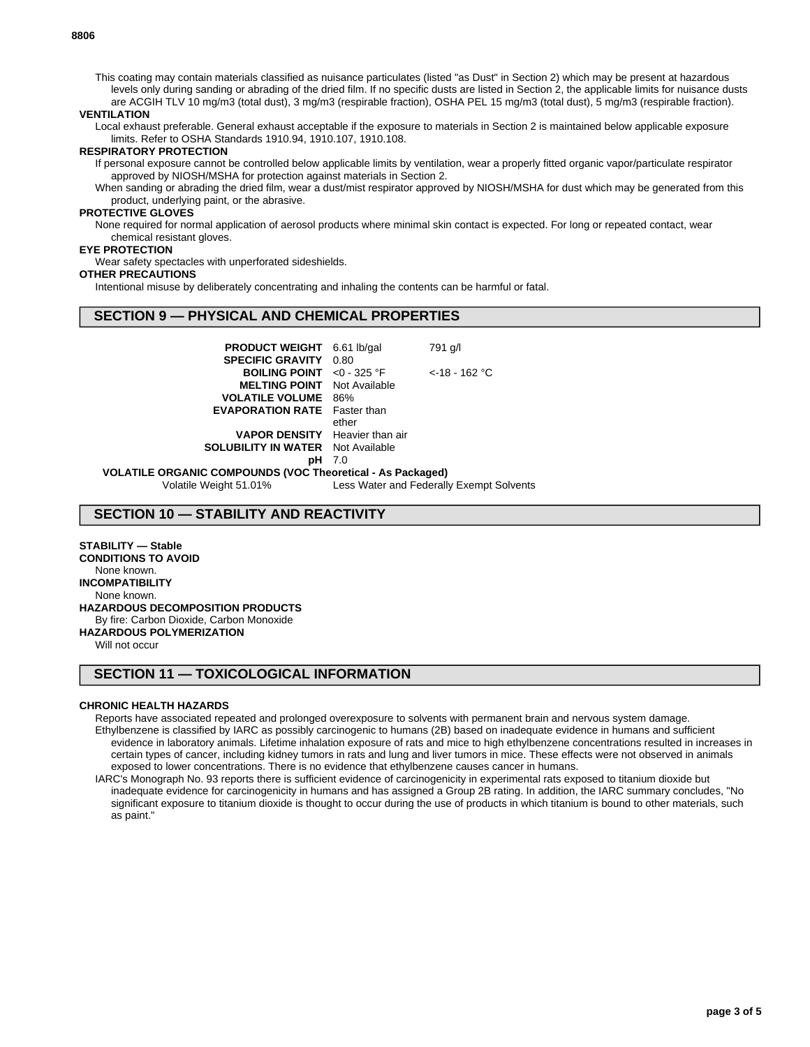This coating may contain materials classified as nuisance particulates (listed "as Dust" in Section 2) which may be present at hazardous levels only during sanding or abrading of the dried film. If no specific dusts are listed in Section 2, the applicable limits for nuisance dusts are ACGIH TLV 10 mg/m3 (total dust), 3 mg/m3 (respirable fraction), OSHA PEL 15 mg/m3 (total dust), 5 mg/m3 (respirable fraction).

#### **VENTILATION**

Local exhaust preferable. General exhaust acceptable if the exposure to materials in Section 2 is maintained below applicable exposure limits. Refer to OSHA Standards 1910.94, 1910.107, 1910.108.

#### **RESPIRATORY PROTECTION**

If personal exposure cannot be controlled below applicable limits by ventilation, wear a properly fitted organic vapor/particulate respirator approved by NIOSH/MSHA for protection against materials in Section 2.

When sanding or abrading the dried film, wear a dust/mist respirator approved by NIOSH/MSHA for dust which may be generated from this product, underlying paint, or the abrasive.

#### **PROTECTIVE GLOVES**

None required for normal application of aerosol products where minimal skin contact is expected. For long or repeated contact, wear chemical resistant gloves.

#### **EYE PROTECTION**

Wear safety spectacles with unperforated sideshields.

#### **OTHER PRECAUTIONS**

Intentional misuse by deliberately concentrating and inhaling the contents can be harmful or fatal.

## **SECTION 9 — PHYSICAL AND CHEMICAL PROPERTIES**

| <b>PRODUCT WEIGHT</b>                          | $6.61$ lb/gal           | 791 g/l                                  |  |  |
|------------------------------------------------|-------------------------|------------------------------------------|--|--|
| <b>SPECIFIC GRAVITY</b>                        | 0.80                    |                                          |  |  |
| <b>BOILING POINT</b>                           | $<$ 0 - 325 $\degree$ F | $<$ -18 - 162 °C                         |  |  |
| <b>MELTING POINT</b>                           | Not Available           |                                          |  |  |
| <b>VOLATILE VOLUME</b>                         | 86%                     |                                          |  |  |
| <b>EVAPORATION RATE</b>                        | Faster than             |                                          |  |  |
|                                                | ether                   |                                          |  |  |
| <b>VAPOR DENSITY</b> Heavier than air          |                         |                                          |  |  |
| <b>SOLUBILITY IN WATER</b> Not Available       |                         |                                          |  |  |
| pН                                             | 7.0                     |                                          |  |  |
| ANIC COMPOUNDS (VOC Theoretical - As Packaged) |                         |                                          |  |  |
| tile Weight 51.01%                             |                         | Less Water and Federally Exempt Solvents |  |  |

**VOLATILE ORGANIC COMPOUND**<br>Volatile Weight 51.01%

## **SECTION 10 — STABILITY AND REACTIVITY**

### **STABILITY — Stable**

**CONDITIONS TO AVOID** None known. **INCOMPATIBILITY** None known. **HAZARDOUS DECOMPOSITION PRODUCTS** By fire: Carbon Dioxide, Carbon Monoxide **HAZARDOUS POLYMERIZATION**

Will not occur

## **SECTION 11 — TOXICOLOGICAL INFORMATION**

### **CHRONIC HEALTH HAZARDS**

Reports have associated repeated and prolonged overexposure to solvents with permanent brain and nervous system damage. Ethylbenzene is classified by IARC as possibly carcinogenic to humans (2B) based on inadequate evidence in humans and sufficient evidence in laboratory animals. Lifetime inhalation exposure of rats and mice to high ethylbenzene concentrations resulted in increases in certain types of cancer, including kidney tumors in rats and lung and liver tumors in mice. These effects were not observed in animals exposed to lower concentrations. There is no evidence that ethylbenzene causes cancer in humans.

IARC's Monograph No. 93 reports there is sufficient evidence of carcinogenicity in experimental rats exposed to titanium dioxide but inadequate evidence for carcinogenicity in humans and has assigned a Group 2B rating. In addition, the IARC summary concludes, "No significant exposure to titanium dioxide is thought to occur during the use of products in which titanium is bound to other materials, such as paint."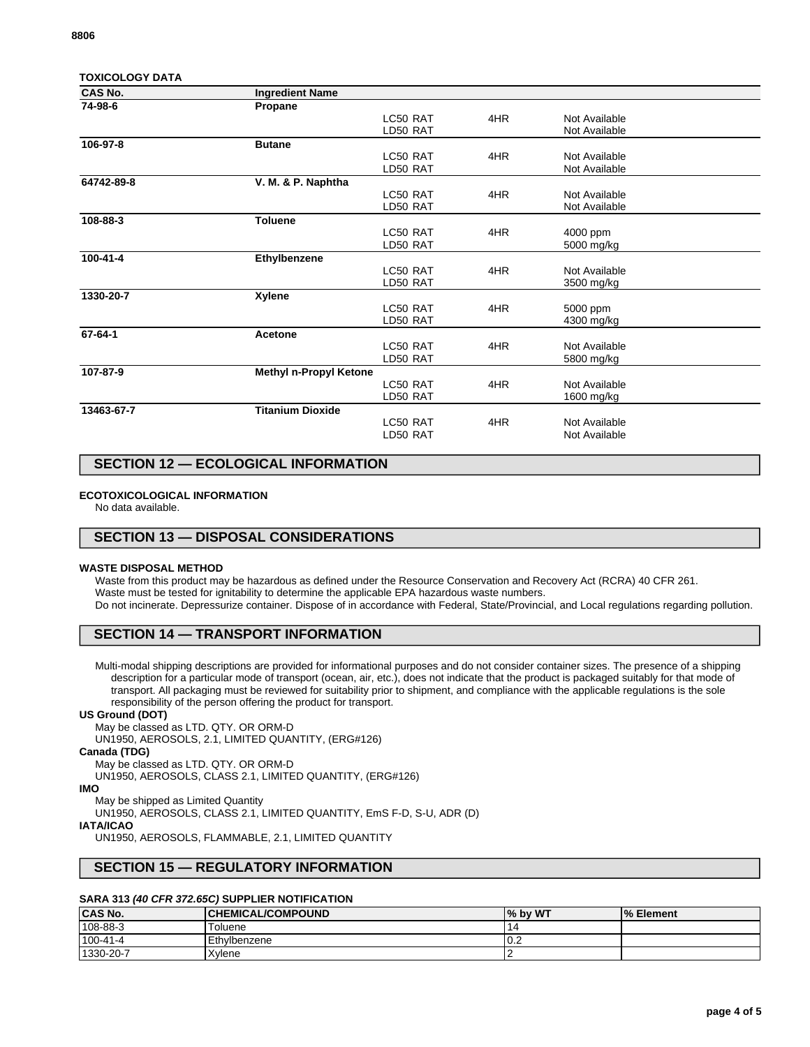| <b>TOXICOLOGY DATA</b> |  |  |  |  |  |  |
|------------------------|--|--|--|--|--|--|
|------------------------|--|--|--|--|--|--|

| CAS No.    | <b>Ingredient Name</b>        |          |     |               |  |
|------------|-------------------------------|----------|-----|---------------|--|
| 74-98-6    | Propane                       |          |     |               |  |
|            |                               | LC50 RAT | 4HR | Not Available |  |
|            |                               | LD50 RAT |     | Not Available |  |
| 106-97-8   | <b>Butane</b>                 |          |     |               |  |
|            |                               | LC50 RAT | 4HR | Not Available |  |
|            |                               | LD50 RAT |     | Not Available |  |
| 64742-89-8 | V. M. & P. Naphtha            |          |     |               |  |
|            |                               | LC50 RAT | 4HR | Not Available |  |
|            |                               | LD50 RAT |     | Not Available |  |
| 108-88-3   | Toluene                       |          |     |               |  |
|            |                               | LC50 RAT | 4HR | 4000 ppm      |  |
|            |                               | LD50 RAT |     | 5000 mg/kg    |  |
| 100-41-4   | Ethylbenzene                  |          |     |               |  |
|            |                               | LC50 RAT | 4HR | Not Available |  |
|            |                               | LD50 RAT |     | 3500 mg/kg    |  |
| 1330-20-7  | Xylene                        |          |     |               |  |
|            |                               | LC50 RAT | 4HR | 5000 ppm      |  |
|            |                               | LD50 RAT |     | 4300 mg/kg    |  |
| 67-64-1    | Acetone                       |          |     |               |  |
|            |                               | LC50 RAT | 4HR | Not Available |  |
|            |                               | LD50 RAT |     | 5800 mg/kg    |  |
| 107-87-9   | <b>Methyl n-Propyl Ketone</b> |          |     |               |  |
|            |                               | LC50 RAT | 4HR | Not Available |  |
|            |                               | LD50 RAT |     | 1600 mg/kg    |  |
| 13463-67-7 | <b>Titanium Dioxide</b>       |          |     |               |  |
|            |                               | LC50 RAT | 4HR | Not Available |  |
|            |                               | LD50 RAT |     | Not Available |  |
|            |                               |          |     |               |  |

## **SECTION 12 — ECOLOGICAL INFORMATION**

### **ECOTOXICOLOGICAL INFORMATION**

No data available.

## **SECTION 13 — DISPOSAL CONSIDERATIONS**

#### **WASTE DISPOSAL METHOD**

Waste from this product may be hazardous as defined under the Resource Conservation and Recovery Act (RCRA) 40 CFR 261. Waste must be tested for ignitability to determine the applicable EPA hazardous waste numbers. Do not incinerate. Depressurize container. Dispose of in accordance with Federal, State/Provincial, and Local regulations regarding pollution.

## **SECTION 14 — TRANSPORT INFORMATION**

Multi-modal shipping descriptions are provided for informational purposes and do not consider container sizes. The presence of a shipping description for a particular mode of transport (ocean, air, etc.), does not indicate that the product is packaged suitably for that mode of transport. All packaging must be reviewed for suitability prior to shipment, and compliance with the applicable regulations is the sole responsibility of the person offering the product for transport.

#### **US Ground (DOT)**

May be classed as LTD. QTY. OR ORM-D

UN1950, AEROSOLS, 2.1, LIMITED QUANTITY, (ERG#126)

## **Canada (TDG)**

May be classed as LTD. QTY. OR ORM-D

UN1950, AEROSOLS, CLASS 2.1, LIMITED QUANTITY, (ERG#126)

#### **IMO**

May be shipped as Limited Quantity

UN1950, AEROSOLS, CLASS 2.1, LIMITED QUANTITY, EmS F-D, S-U, ADR (D)

### **IATA/ICAO**

UN1950, AEROSOLS, FLAMMABLE, 2.1, LIMITED QUANTITY

## **SECTION 15 — REGULATORY INFORMATION**

### **SARA 313 (40 CFR 372.65C) SUPPLIER NOTIFICATION**

| <b>CAS No.</b> | <b>CHEMICAL/COMPOUND</b> | % by WT | <sup>1</sup> % Element |
|----------------|--------------------------|---------|------------------------|
| 108-88-3       | Toluene                  |         |                        |
| 100-41-4       | Ethylbenzene             | v.z     |                        |
| 1330-20-7      | Xvlene                   |         |                        |